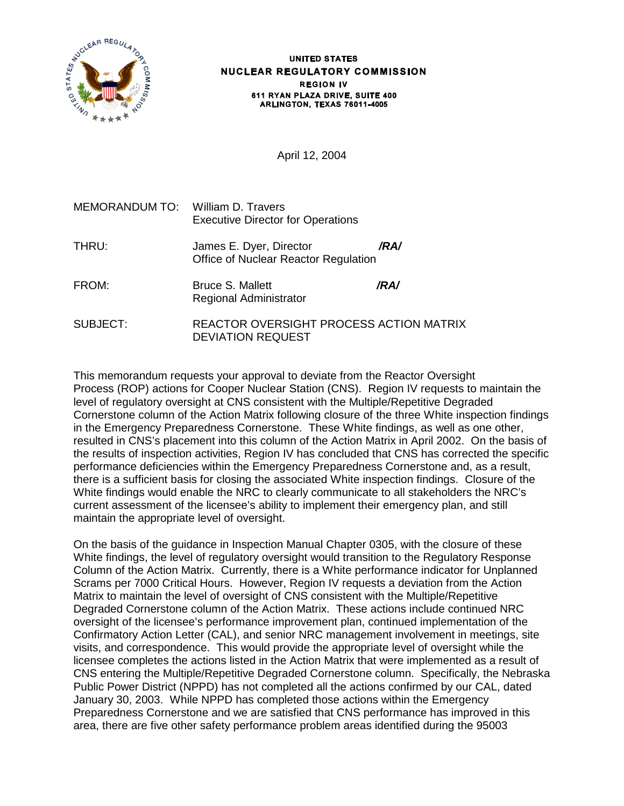

#### **UNITED STATES** NUCLEAR REGULATORY COMMISSION **REGION IV** 611 RYAN PLAZA DRIVE, SUITE 400 ARLINGTON, TEXAS 76011-4005

April 12, 2004

| MEMORANDUM TO: William D. Travers | <b>Executive Director for Operations</b>                            |      |
|-----------------------------------|---------------------------------------------------------------------|------|
| THRU:                             | James E. Dyer, Director<br>Office of Nuclear Reactor Regulation     | /RA/ |
| FROM:                             | <b>Bruce S. Mallett</b><br><b>Regional Administrator</b>            | /RA/ |
| SUBJECT:                          | REACTOR OVERSIGHT PROCESS ACTION MATRIX<br><b>DEVIATION REQUEST</b> |      |

This memorandum requests your approval to deviate from the Reactor Oversight Process (ROP) actions for Cooper Nuclear Station (CNS). Region IV requests to maintain the level of regulatory oversight at CNS consistent with the Multiple/Repetitive Degraded Cornerstone column of the Action Matrix following closure of the three White inspection findings in the Emergency Preparedness Cornerstone. These White findings, as well as one other, resulted in CNS's placement into this column of the Action Matrix in April 2002. On the basis of the results of inspection activities, Region IV has concluded that CNS has corrected the specific performance deficiencies within the Emergency Preparedness Cornerstone and, as a result, there is a sufficient basis for closing the associated White inspection findings. Closure of the White findings would enable the NRC to clearly communicate to all stakeholders the NRC's current assessment of the licensee's ability to implement their emergency plan, and still maintain the appropriate level of oversight.

On the basis of the guidance in Inspection Manual Chapter 0305, with the closure of these White findings, the level of regulatory oversight would transition to the Regulatory Response Column of the Action Matrix. Currently, there is a White performance indicator for Unplanned Scrams per 7000 Critical Hours. However, Region IV requests a deviation from the Action Matrix to maintain the level of oversight of CNS consistent with the Multiple/Repetitive Degraded Cornerstone column of the Action Matrix. These actions include continued NRC oversight of the licensee's performance improvement plan, continued implementation of the Confirmatory Action Letter (CAL), and senior NRC management involvement in meetings, site visits, and correspondence. This would provide the appropriate level of oversight while the licensee completes the actions listed in the Action Matrix that were implemented as a result of CNS entering the Multiple/Repetitive Degraded Cornerstone column. Specifically, the Nebraska Public Power District (NPPD) has not completed all the actions confirmed by our CAL, dated January 30, 2003. While NPPD has completed those actions within the Emergency Preparedness Cornerstone and we are satisfied that CNS performance has improved in this area, there are five other safety performance problem areas identified during the 95003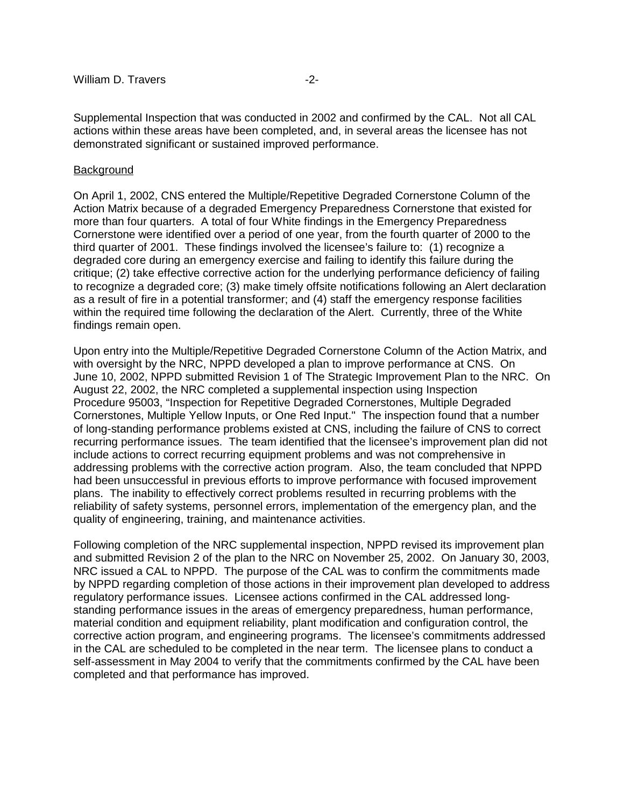Supplemental Inspection that was conducted in 2002 and confirmed by the CAL. Not all CAL actions within these areas have been completed, and, in several areas the licensee has not demonstrated significant or sustained improved performance.

#### **Background**

On April 1, 2002, CNS entered the Multiple/Repetitive Degraded Cornerstone Column of the Action Matrix because of a degraded Emergency Preparedness Cornerstone that existed for more than four quarters. A total of four White findings in the Emergency Preparedness Cornerstone were identified over a period of one year, from the fourth quarter of 2000 to the third quarter of 2001. These findings involved the licensee's failure to: (1) recognize a degraded core during an emergency exercise and failing to identify this failure during the critique; (2) take effective corrective action for the underlying performance deficiency of failing to recognize a degraded core; (3) make timely offsite notifications following an Alert declaration as a result of fire in a potential transformer; and (4) staff the emergency response facilities within the required time following the declaration of the Alert. Currently, three of the White findings remain open.

Upon entry into the Multiple/Repetitive Degraded Cornerstone Column of the Action Matrix, and with oversight by the NRC, NPPD developed a plan to improve performance at CNS. On June 10, 2002, NPPD submitted Revision 1 of The Strategic Improvement Plan to the NRC. On August 22, 2002, the NRC completed a supplemental inspection using Inspection Procedure 95003, "Inspection for Repetitive Degraded Cornerstones, Multiple Degraded Cornerstones, Multiple Yellow Inputs, or One Red Input." The inspection found that a number of long-standing performance problems existed at CNS, including the failure of CNS to correct recurring performance issues. The team identified that the licensee's improvement plan did not include actions to correct recurring equipment problems and was not comprehensive in addressing problems with the corrective action program. Also, the team concluded that NPPD had been unsuccessful in previous efforts to improve performance with focused improvement plans. The inability to effectively correct problems resulted in recurring problems with the reliability of safety systems, personnel errors, implementation of the emergency plan, and the quality of engineering, training, and maintenance activities.

Following completion of the NRC supplemental inspection, NPPD revised its improvement plan and submitted Revision 2 of the plan to the NRC on November 25, 2002. On January 30, 2003, NRC issued a CAL to NPPD. The purpose of the CAL was to confirm the commitments made by NPPD regarding completion of those actions in their improvement plan developed to address regulatory performance issues. Licensee actions confirmed in the CAL addressed longstanding performance issues in the areas of emergency preparedness, human performance, material condition and equipment reliability, plant modification and configuration control, the corrective action program, and engineering programs. The licensee's commitments addressed in the CAL are scheduled to be completed in the near term. The licensee plans to conduct a self-assessment in May 2004 to verify that the commitments confirmed by the CAL have been completed and that performance has improved.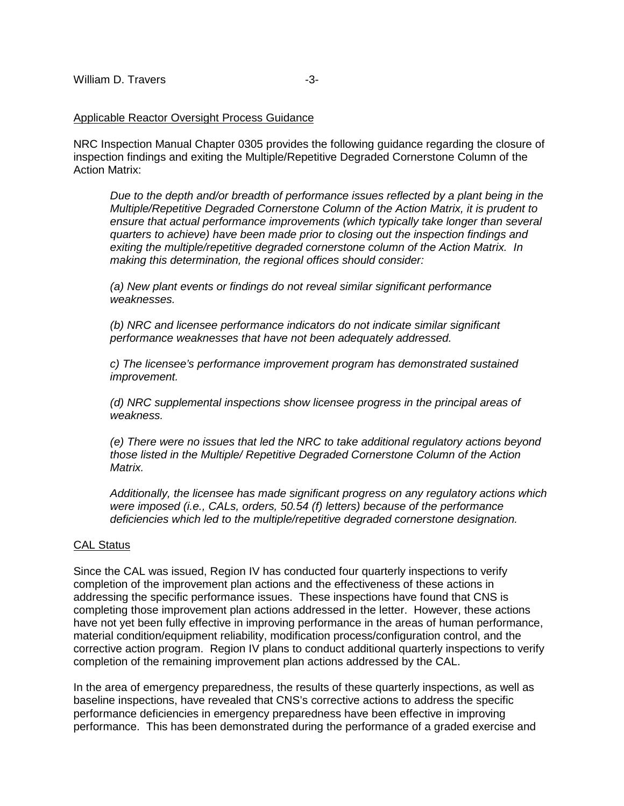## Applicable Reactor Oversight Process Guidance

NRC Inspection Manual Chapter 0305 provides the following guidance regarding the closure of inspection findings and exiting the Multiple/Repetitive Degraded Cornerstone Column of the Action Matrix:

Due to the depth and/or breadth of performance issues reflected by a plant being in the Multiple/Repetitive Degraded Cornerstone Column of the Action Matrix, it is prudent to ensure that actual performance improvements (which typically take longer than several quarters to achieve) have been made prior to closing out the inspection findings and exiting the multiple/repetitive degraded cornerstone column of the Action Matrix. In making this determination, the regional offices should consider:

(a) New plant events or findings do not reveal similar significant performance weaknesses.

(b) NRC and licensee performance indicators do not indicate similar significant performance weaknesses that have not been adequately addressed.

c) The licensee's performance improvement program has demonstrated sustained improvement.

(d) NRC supplemental inspections show licensee progress in the principal areas of weakness.

(e) There were no issues that led the NRC to take additional regulatory actions beyond those listed in the Multiple/ Repetitive Degraded Cornerstone Column of the Action Matrix.

Additionally, the licensee has made significant progress on any regulatory actions which were imposed (i.e., CALs, orders, 50.54 (f) letters) because of the performance deficiencies which led to the multiple/repetitive degraded cornerstone designation.

## CAL Status

Since the CAL was issued, Region IV has conducted four quarterly inspections to verify completion of the improvement plan actions and the effectiveness of these actions in addressing the specific performance issues. These inspections have found that CNS is completing those improvement plan actions addressed in the letter. However, these actions have not yet been fully effective in improving performance in the areas of human performance, material condition/equipment reliability, modification process/configuration control, and the corrective action program. Region IV plans to conduct additional quarterly inspections to verify completion of the remaining improvement plan actions addressed by the CAL.

In the area of emergency preparedness, the results of these quarterly inspections, as well as baseline inspections, have revealed that CNS's corrective actions to address the specific performance deficiencies in emergency preparedness have been effective in improving performance. This has been demonstrated during the performance of a graded exercise and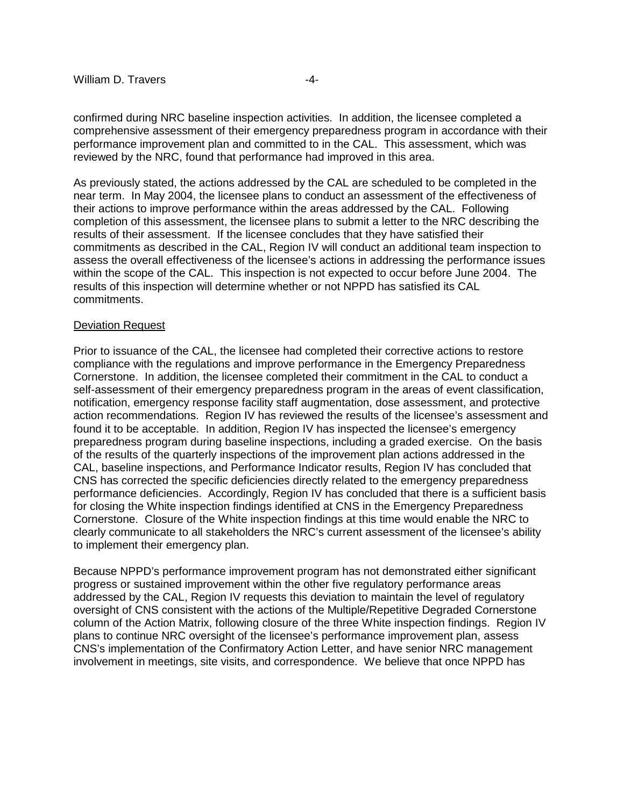confirmed during NRC baseline inspection activities. In addition, the licensee completed a comprehensive assessment of their emergency preparedness program in accordance with their performance improvement plan and committed to in the CAL. This assessment, which was reviewed by the NRC, found that performance had improved in this area.

As previously stated, the actions addressed by the CAL are scheduled to be completed in the near term. In May 2004, the licensee plans to conduct an assessment of the effectiveness of their actions to improve performance within the areas addressed by the CAL. Following completion of this assessment, the licensee plans to submit a letter to the NRC describing the results of their assessment. If the licensee concludes that they have satisfied their commitments as described in the CAL, Region IV will conduct an additional team inspection to assess the overall effectiveness of the licensee's actions in addressing the performance issues within the scope of the CAL. This inspection is not expected to occur before June 2004. The results of this inspection will determine whether or not NPPD has satisfied its CAL commitments.

## Deviation Request

Prior to issuance of the CAL, the licensee had completed their corrective actions to restore compliance with the regulations and improve performance in the Emergency Preparedness Cornerstone. In addition, the licensee completed their commitment in the CAL to conduct a self-assessment of their emergency preparedness program in the areas of event classification, notification, emergency response facility staff augmentation, dose assessment, and protective action recommendations. Region IV has reviewed the results of the licensee's assessment and found it to be acceptable. In addition, Region IV has inspected the licensee's emergency preparedness program during baseline inspections, including a graded exercise. On the basis of the results of the quarterly inspections of the improvement plan actions addressed in the CAL, baseline inspections, and Performance Indicator results, Region IV has concluded that CNS has corrected the specific deficiencies directly related to the emergency preparedness performance deficiencies. Accordingly, Region IV has concluded that there is a sufficient basis for closing the White inspection findings identified at CNS in the Emergency Preparedness Cornerstone. Closure of the White inspection findings at this time would enable the NRC to clearly communicate to all stakeholders the NRC's current assessment of the licensee's ability to implement their emergency plan.

Because NPPD's performance improvement program has not demonstrated either significant progress or sustained improvement within the other five regulatory performance areas addressed by the CAL, Region IV requests this deviation to maintain the level of regulatory oversight of CNS consistent with the actions of the Multiple/Repetitive Degraded Cornerstone column of the Action Matrix, following closure of the three White inspection findings. Region IV plans to continue NRC oversight of the licensee's performance improvement plan, assess CNS's implementation of the Confirmatory Action Letter, and have senior NRC management involvement in meetings, site visits, and correspondence. We believe that once NPPD has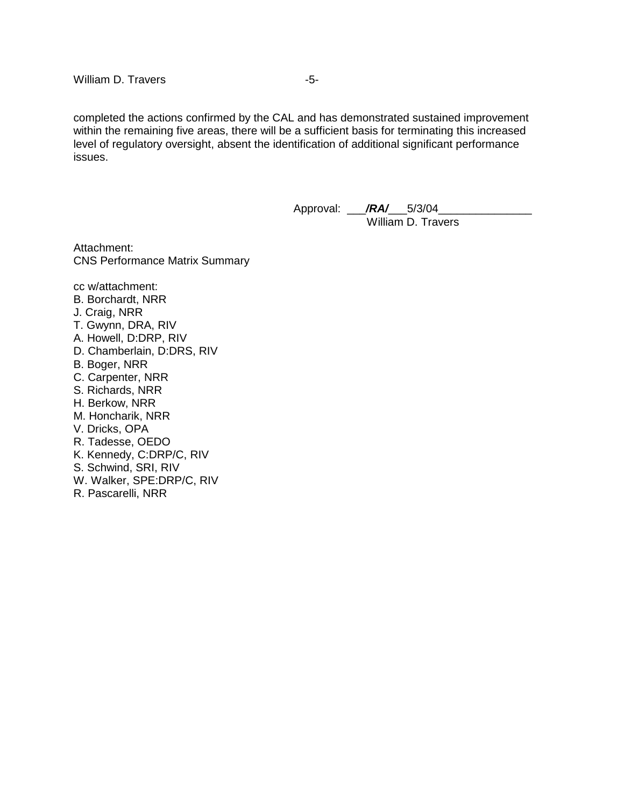completed the actions confirmed by the CAL and has demonstrated sustained improvement within the remaining five areas, there will be a sufficient basis for terminating this increased level of regulatory oversight, absent the identification of additional significant performance issues.

> Approval: \_\_\_**/RA/\_\_\_**5/3/04\_\_ William D. Travers

Attachment: CNS Performance Matrix Summary

cc w/attachment: B. Borchardt, NRR J. Craig, NRR T. Gwynn, DRA, RIV A. Howell, D:DRP, RIV D. Chamberlain, D:DRS, RIV B. Boger, NRR C. Carpenter, NRR S. Richards, NRR H. Berkow, NRR M. Honcharik, NRR V. Dricks, OPA R. Tadesse, OEDO K. Kennedy, C:DRP/C, RIV S. Schwind, SRI, RIV W. Walker, SPE:DRP/C, RIV R. Pascarelli, NRR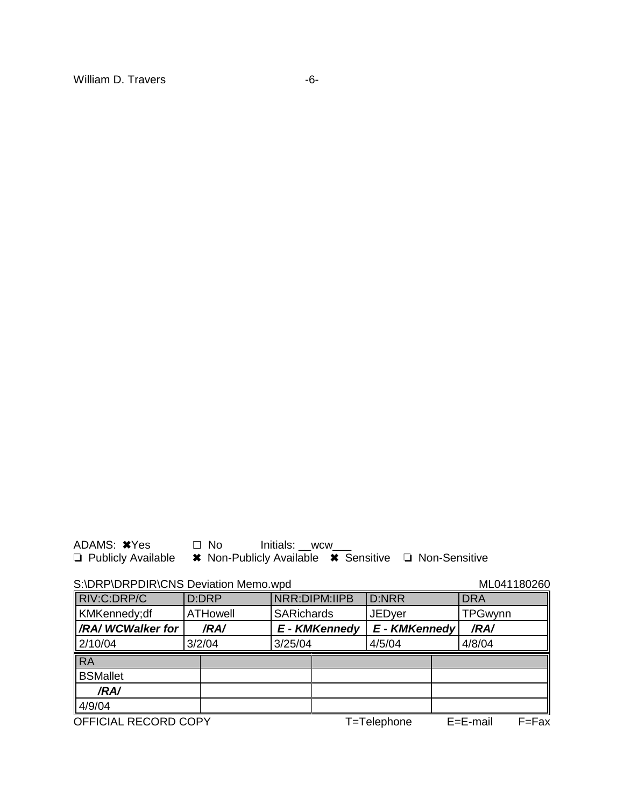ADAMS: <sup>\*</sup>Yes □ No Initials: \_\_wcw\_\_\_

**□ Publicly Available • \* Non-Publicly Available • \* Sensitive · □ Non-Sensitive** 

S:\DRP\DRPDIR\CNS Deviation Memo.wpd ML041180260

| <b>S. DRF DRFDIRIGNS DEVIATION MEMO. WDG</b> |                 |         |                      |                      |               |               | <b>IVILU4 LIOUZOU</b> |
|----------------------------------------------|-----------------|---------|----------------------|----------------------|---------------|---------------|-----------------------|
| RIV:C:DRP/C                                  | D:DRP           |         | <b>NRR:DIPM:IIPB</b> | <b>D:NRR</b>         |               | <b>DRA</b>    |                       |
| KMKennedy;df                                 | <b>ATHowell</b> |         | <b>SARichards</b>    |                      | <b>JEDyer</b> |               | <b>TPGwynn</b>        |
| <b>AXA/WCWalker for</b>                      | /RA/            |         | <b>E</b> - KMKennedy | <b>E</b> - KMKennedy |               | /RA/          |                       |
| 2/10/04                                      | 3/2/04          | 3/25/04 |                      | 4/5/04               |               | 4/8/04        |                       |
| <b>RA</b>                                    |                 |         |                      |                      |               |               |                       |
| <b>BSMallet</b>                              |                 |         |                      |                      |               |               |                       |
| /RA/                                         |                 |         |                      |                      |               |               |                       |
| 4/9/04                                       |                 |         |                      |                      |               |               |                       |
| OFFICIAL RECORD COPY                         |                 |         |                      | T=Telephone          |               | $E = E$ -mail | $F = Fax$             |